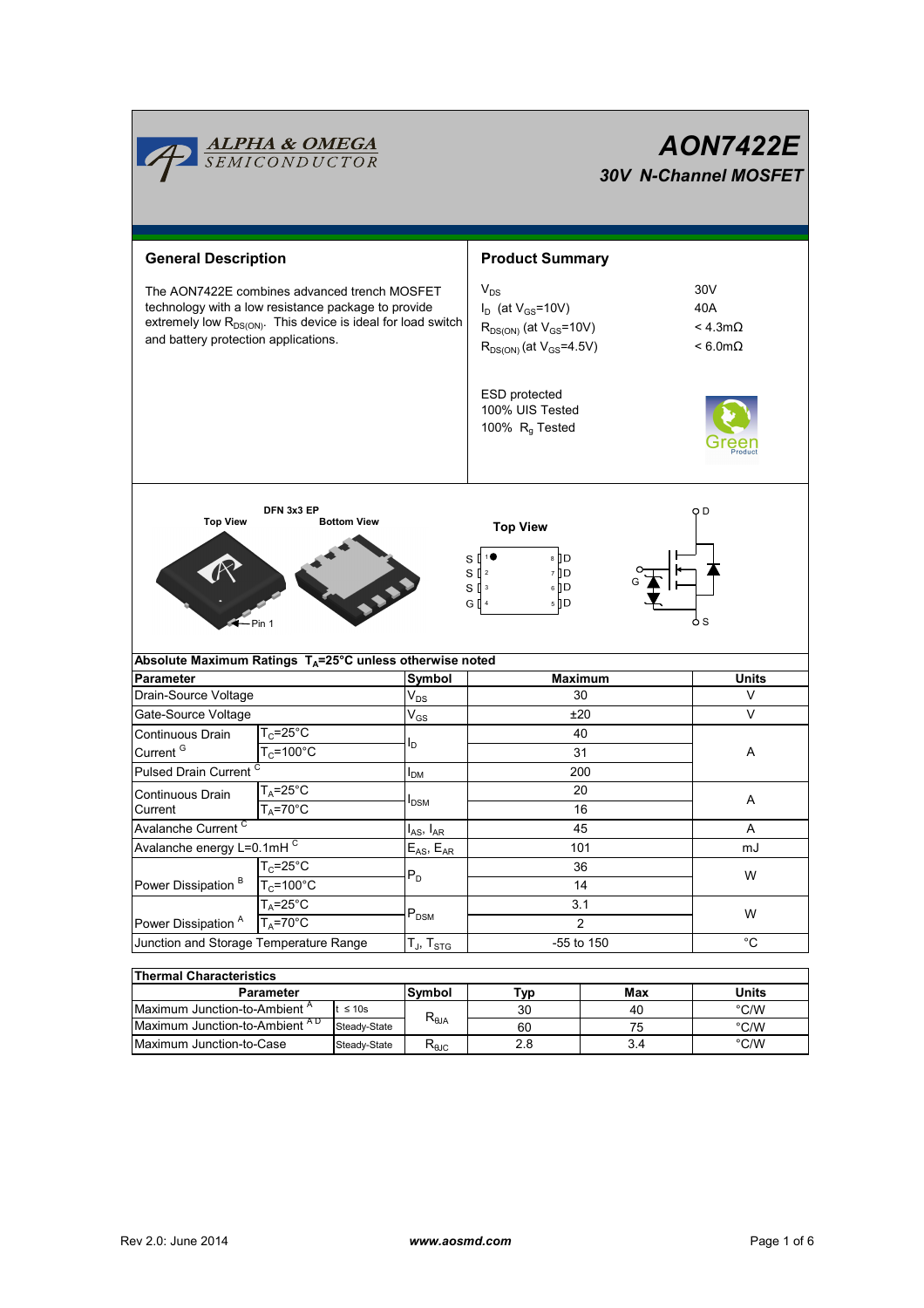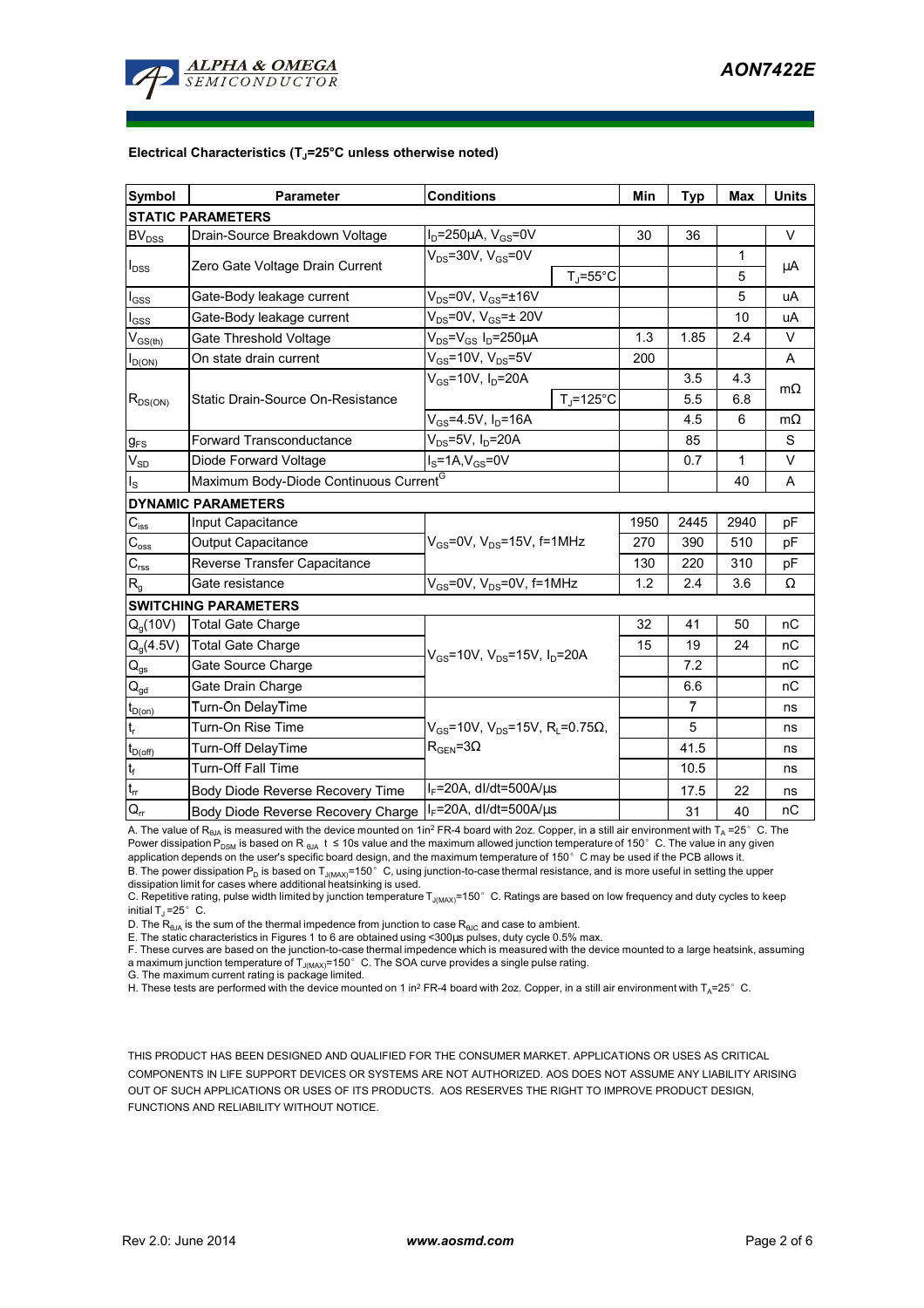

#### **Electrical Characteristics (TJ=25°C unless otherwise noted)**

| <b>Symbol</b>               | <b>Parameter</b>                                           | <b>Conditions</b>                                                                  |                   | Min  | <b>Typ</b>     | <b>Max</b>   | <b>Units</b> |
|-----------------------------|------------------------------------------------------------|------------------------------------------------------------------------------------|-------------------|------|----------------|--------------|--------------|
| <b>STATIC PARAMETERS</b>    |                                                            |                                                                                    |                   |      |                |              |              |
| <b>BV<sub>DSS</sub></b>     | Drain-Source Breakdown Voltage                             | $I_D = 250 \mu A$ , $V_{GS} = 0V$                                                  |                   | 30   | 36             |              | $\vee$       |
| $I_{DSS}$                   | Zero Gate Voltage Drain Current                            | $V_{DS}$ =30V, $V_{GS}$ =0V                                                        |                   |      |                | 1            | μA           |
|                             |                                                            |                                                                                    | $T_{\rm J}$ =55°C |      |                | 5            |              |
| $I_{GSS}$                   | Gate-Body leakage current                                  | $V_{DS}$ =0V, $V_{GS}$ = $\pm$ 16V                                                 |                   |      |                | 5            | uA           |
| $I_{GSS}$                   | Gate-Body leakage current                                  | $V_{DS}$ =0V, $V_{GS}$ = $\pm$ 20V                                                 |                   |      |                | 10           | uA           |
| $V_{GS(th)}$                | Gate Threshold Voltage                                     | $V_{DS} = V_{GS} I_D = 250 \mu A$                                                  |                   | 1.3  | 1.85           | 2.4          | V            |
| $I_{D(ON)}$                 | On state drain current                                     | $V_{GS}$ =10V, $V_{DS}$ =5V                                                        |                   | 200  |                |              | A            |
| $R_{DS(ON)}$                | Static Drain-Source On-Resistance                          | $V_{GS}$ =10V, I <sub>D</sub> =20A                                                 |                   |      | 3.5            | 4.3          | $m\Omega$    |
|                             |                                                            |                                                                                    | $T_i = 125$ °C    |      | 5.5            | 6.8          |              |
|                             |                                                            | $V_{GS} = 4.5V, I_D = 16A$                                                         |                   |      | 4.5            | 6            | $m\Omega$    |
| $g_{FS}$                    | <b>Forward Transconductance</b>                            | $V_{DS}$ =5V, I <sub>D</sub> =20A                                                  |                   |      | 85             |              | S            |
| $V_{SD}$                    | Diode Forward Voltage                                      | $IS=1A, VGS=0V$                                                                    |                   |      | 0.7            | $\mathbf{1}$ | $\vee$       |
| $I_{\rm S}$                 | Maximum Body-Diode Continuous Current <sup>G</sup>         |                                                                                    |                   |      |                | 40           | A            |
| <b>DYNAMIC PARAMETERS</b>   |                                                            |                                                                                    |                   |      |                |              |              |
| $C_{iss}$                   | Input Capacitance                                          | $V_{GS}$ =0V, $V_{DS}$ =15V, f=1MHz                                                |                   | 1950 | 2445           | 2940         | рF           |
| $C_{\rm oss}$               | <b>Output Capacitance</b>                                  |                                                                                    |                   | 270  | 390            | 510          | pF           |
| $C_{\rm rss}$               | Reverse Transfer Capacitance                               |                                                                                    |                   | 130  | 220            | 310          | pF           |
| $R_{q}$                     | Gate resistance                                            | $V_{GS}$ =0V, $V_{DS}$ =0V, f=1MHz                                                 |                   | 1.2  | 2.4            | 3.6          | Ω            |
| <b>SWITCHING PARAMETERS</b> |                                                            |                                                                                    |                   |      |                |              |              |
| $Q_q(10V)$                  | <b>Total Gate Charge</b>                                   | $V_{\rm{GS}}$ =10V, $V_{\rm{DS}}$ =15V, $I_{\rm{D}}$ =20A                          |                   | 32   | 41             | 50           | nC           |
| $Q_g(4.5V)$                 | <b>Total Gate Charge</b>                                   |                                                                                    |                   | 15   | 19             | 24           | nС           |
| $\mathsf{Q}_{\mathsf{gs}}$  | Gate Source Charge                                         |                                                                                    |                   |      | 7.2            |              | nC           |
| $\mathsf{Q}_{\text{gd}}$    | Gate Drain Charge                                          |                                                                                    |                   |      | 6.6            |              | пC           |
| $t_{D(on)}$                 | Turn-On DelayTime                                          |                                                                                    |                   |      | $\overline{7}$ |              | ns           |
| $\mathsf{t}_{\sf r}$        | Turn-On Rise Time                                          | $V_{GS}$ =10V, $V_{DS}$ =15V, R <sub>i</sub> =0.75Ω,<br>$R_{\text{GFN}} = 3\Omega$ |                   |      | 5              |              | ns           |
| $t_{D(\text{off})}$         | Turn-Off DelayTime                                         |                                                                                    |                   |      | 41.5           |              | ns           |
| $t_f$                       | <b>Turn-Off Fall Time</b>                                  |                                                                                    |                   |      | 10.5           |              | ns           |
| $t_{rr}$                    | <b>Body Diode Reverse Recovery Time</b>                    | $I_F$ =20A, dl/dt=500A/ $\mu$ s                                                    |                   |      | 17.5           | 22           | ns           |
| $Q_{rr}$                    | Body Diode Reverse Recovery Charge   IF=20A, dl/dt=500A/us |                                                                                    |                   |      | 31             | 40           | nC           |

A. The value of R<sub>θJA</sub> is measured with the device mounted on 1in<sup>2</sup> FR-4 board with 2oz. Copper, in a still air environment with T<sub>A</sub> =25°C. The Power dissipation P<sub>DSM</sub> is based on R <sub>θJA</sub> t ≤ 10s value and the maximum allowed junction temperature of 150°C. The value in any given application depends on the user's specific board design, and the maximum temperature of 150° C may be used if the PCB allows it. B. The power dissipation  $P_D$  is based on  $T_{J(MAX)}$ =150°C, using junction-to-case thermal resistance, and is more useful in setting the upper dissipation limit for cases where additional heatsinking is used.

C. Repetitive rating, pulse width limited by junction temperature  $T_{J(MAX)}$ =150°C. Ratings are based on low frequency and duty cycles to keep initial  $T_{\text{J}}$  =25° C.

D. The  $R_{\text{BJA}}$  is the sum of the thermal impedence from junction to case  $R_{\text{BJC}}$  and case to ambient.

E. The static characteristics in Figures 1 to 6 are obtained using <300µs pulses, duty cycle 0.5% max.<br>F. These curves are based on the junction-to-case thermal impedence which is measured with the device mounted to a larg a maximum junction temperature of  $T_{J(MAX)}$ =150° C. The SOA curve provides a single pulse rating.

G. The maximum current rating is package limited.

H. These tests are performed with the device mounted on 1 in<sup>2</sup> FR-4 board with 2oz. Copper, in a still air environment with T<sub>A</sub>=25°C.

THIS PRODUCT HAS BEEN DESIGNED AND QUALIFIED FOR THE CONSUMER MARKET. APPLICATIONS OR USES AS CRITICAL COMPONENTS IN LIFE SUPPORT DEVICES OR SYSTEMS ARE NOT AUTHORIZED. AOS DOES NOT ASSUME ANY LIABILITY ARISING OUT OF SUCH APPLICATIONS OR USES OF ITS PRODUCTS. AOS RESERVES THE RIGHT TO IMPROVE PRODUCT DESIGN, FUNCTIONS AND RELIABILITY WITHOUT NOTICE.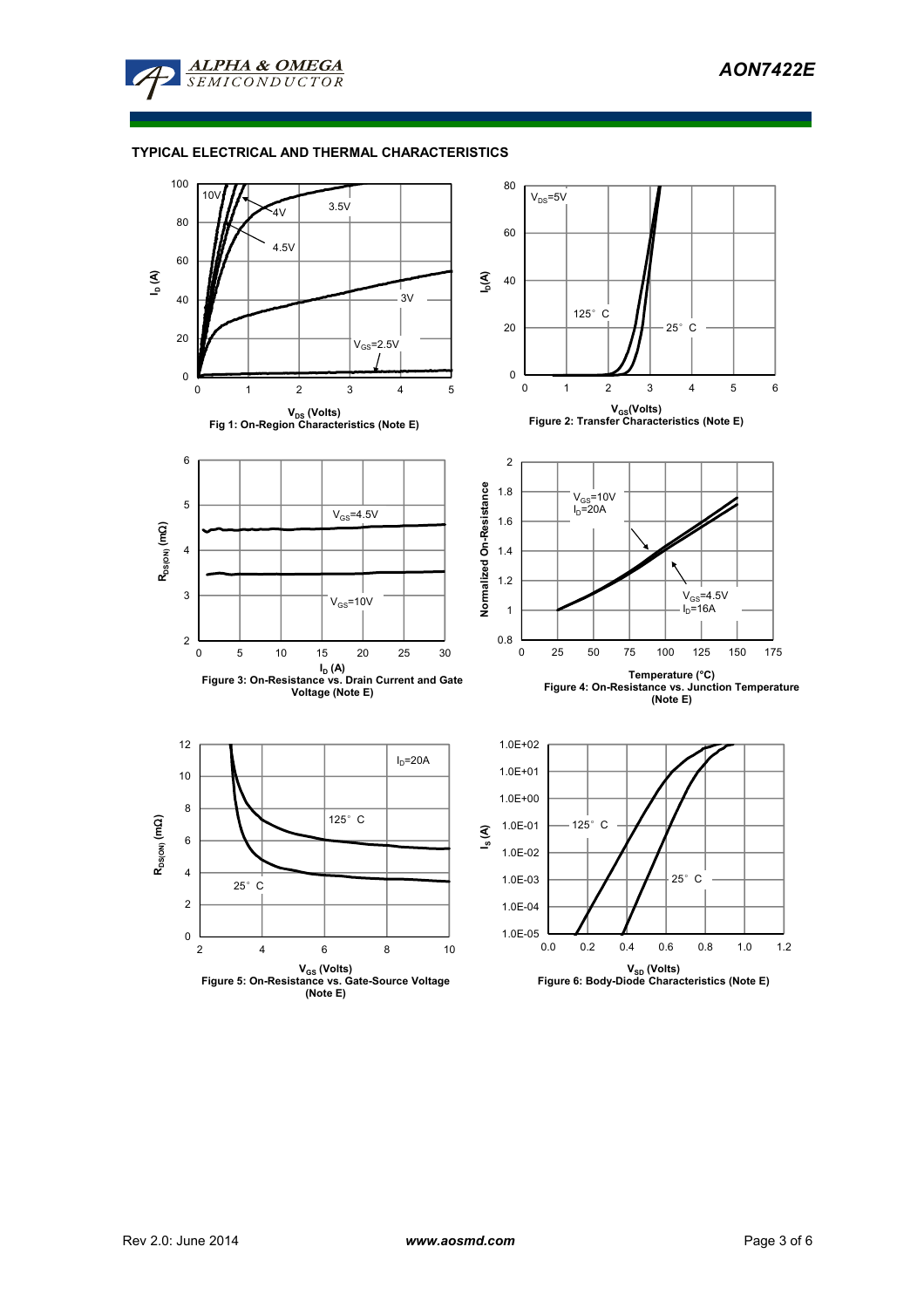

# **TYPICAL ELECTRICAL AND THERMAL CHARACTERISTICS**

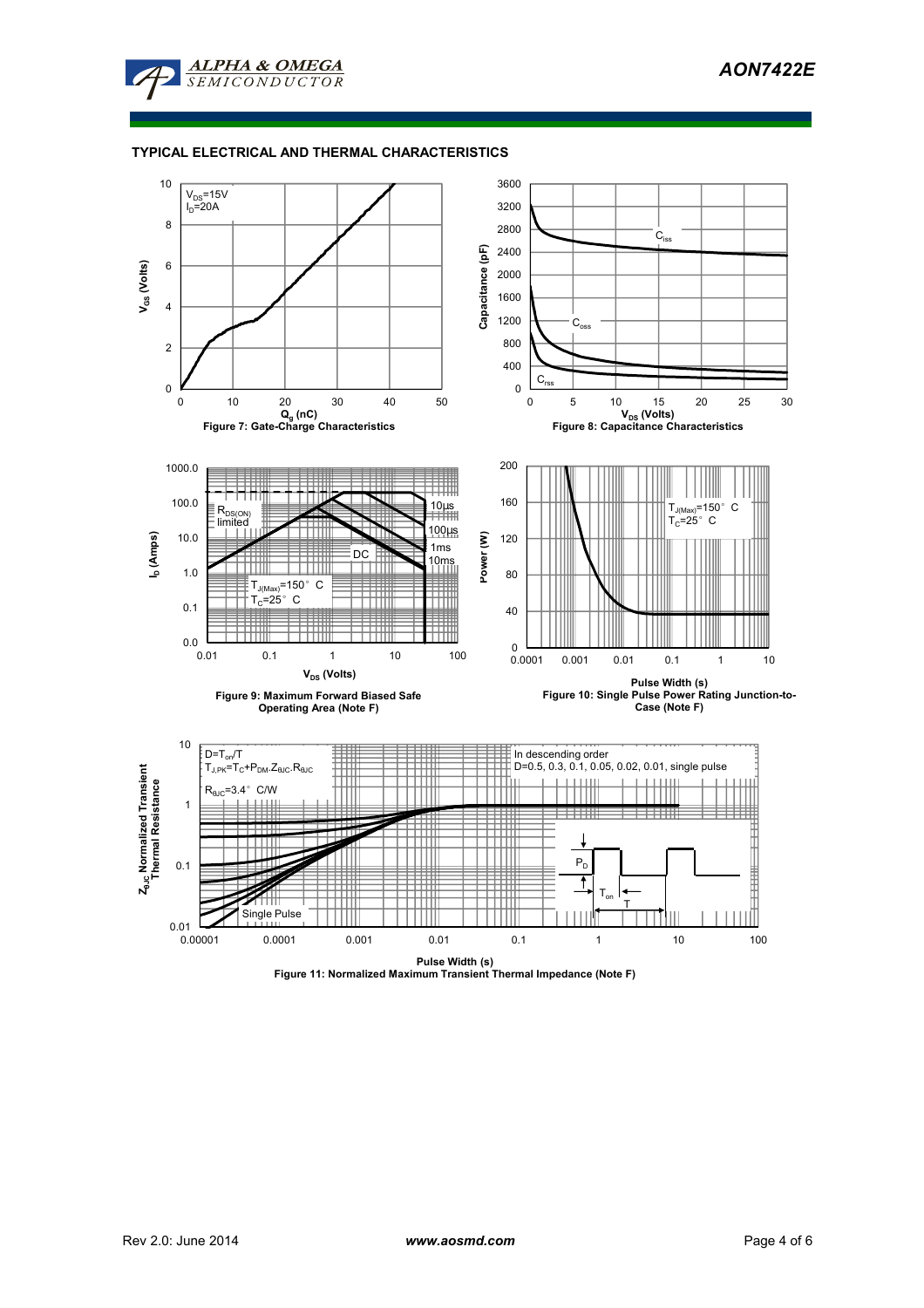

## **TYPICAL ELECTRICAL AND THERMAL CHARACTERISTICS**



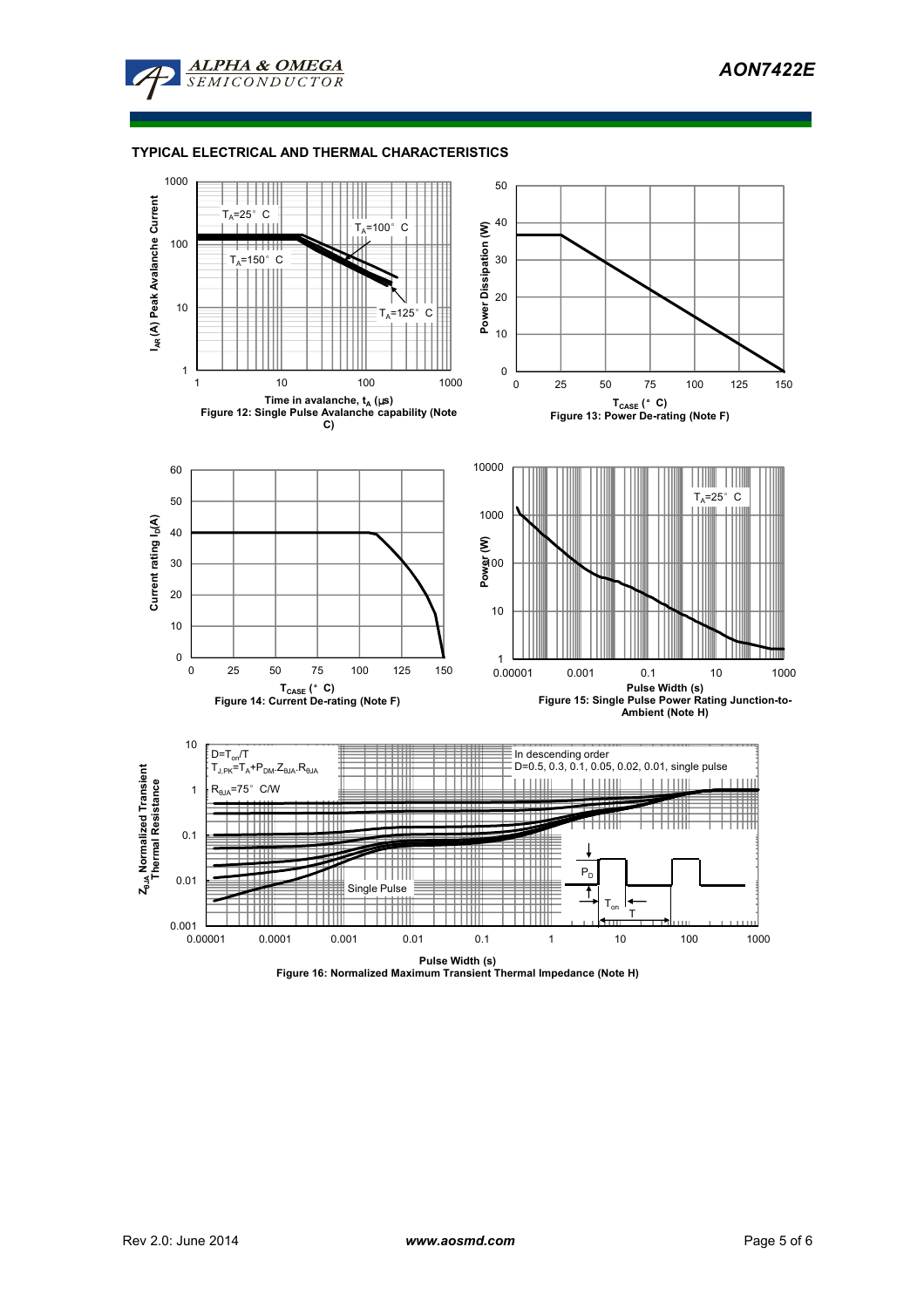

### **TYPICAL ELECTRICAL AND THERMAL CHARACTERISTICS**